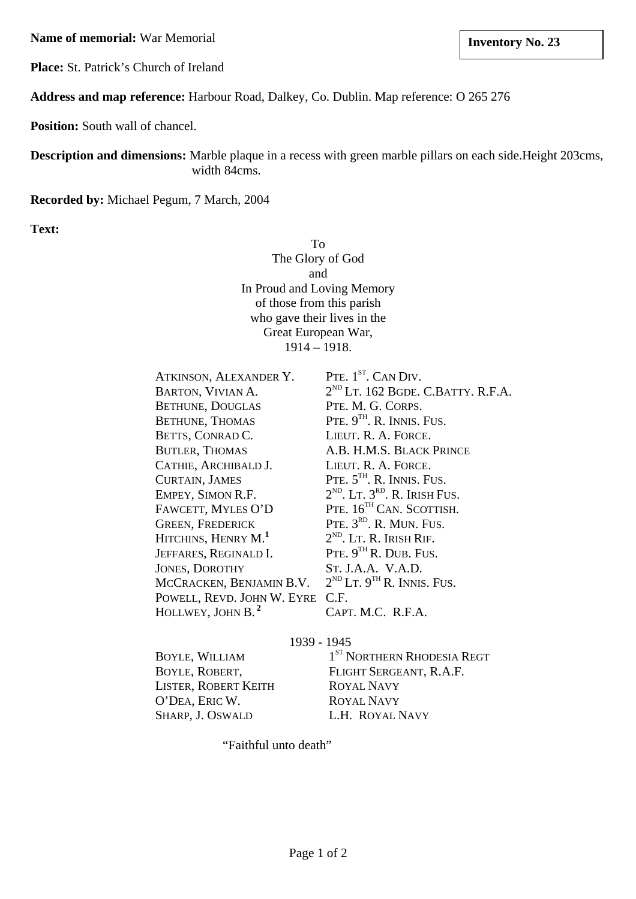**Name of memorial:** War Memorial **Inventory No. 23** 

**Place:** St. Patrick's Church of Ireland

**Address and map reference:** Harbour Road, Dalkey, Co. Dublin. Map reference: O 265 276

**Position:** South wall of chancel.

**Description and dimensions:** Marble plaque in a recess with green marble pillars on each side.Height 203cms, width 84cms.

**Recorded by:** Michael Pegum, 7 March, 2004

**Text:**

To The Glory of God and In Proud and Loving Memory of those from this parish who gave their lives in the Great European War,  $1914 - 1918$ .

| ATKINSON, ALEXANDER Y.          | PTE. 1 <sup>ST</sup> . CAN DIV.         |
|---------------------------------|-----------------------------------------|
| BARTON, VIVIAN A.               | $2^{ND}$ LT. 162 BGDE. C.BATTY. R.F.A.  |
| <b>BETHUNE, DOUGLAS</b>         | PTE. M. G. CORPS.                       |
| <b>BETHUNE, THOMAS</b>          | PTE. $9TH$ . R. INNIS. FUS.             |
| BETTS, CONRAD C.                | LIEUT. R. A. FORCE.                     |
| <b>BUTLER, THOMAS</b>           | A.B. H.M.S. BLACK PRINCE                |
| CATHIE, ARCHIBALD J.            | LIEUT. R. A. FORCE.                     |
| <b>CURTAIN, JAMES</b>           | PTE. 5TH. R. INNIS. FUS.                |
| EMPEY, SIMON R.F.               | $2^{ND}$ , LT, $3^{RD}$ , R, IRISH FUS. |
| FAWCETT, MYLES O'D              | PTE. 16 <sup>TH</sup> CAN. SCOTTISH.    |
| <b>GREEN, FREDERICK</b>         | PTE, $3RD$ , R. MUN. FUS.               |
| HITCHINS, HENRY M. <sup>1</sup> | $2^{ND}$ . LT. R. IRISH RIF.            |
| JEFFARES, REGINALD I.           | PTE. $9TH$ R. DUB. FUS.                 |
| <b>JONES, DOROTHY</b>           | ST. J.A.A. V.A.D.                       |
| MCCRACKEN, BENJAMIN B.V.        | $2^{ND}$ LT. $9^{TH}$ R. INNIS. FUS.    |
| POWELL, REVD. JOHN W. EYRE      | C.F.                                    |
| HOLLWEY, JOHN B. <sup>2</sup>   | CAPT. M.C. R.F.A.                       |
|                                 |                                         |

1939 - 1945

LISTER, ROBERT KEITH ROYAL NAVY O'DEA, ERIC W. ROYAL NAVY SHARP, J. OSWALD L.H. ROYAL NAVY

BOYLE, WILLIAM 1<sup>ST</sup> NORTHERN RHODESIA REGT BOYLE, ROBERT, FLIGHT SERGEANT, R.A.F.

"Faithful unto death"